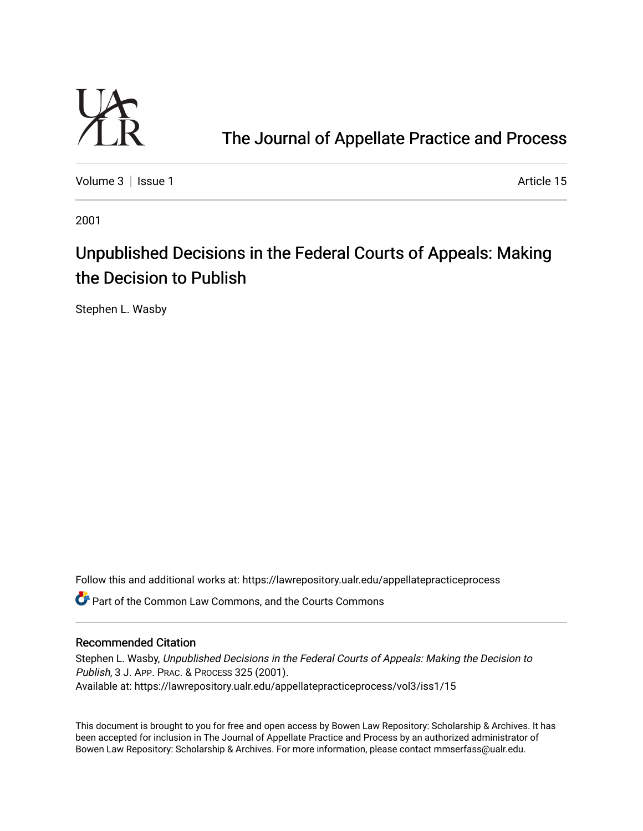

[The Journal of Appellate Practice and Process](https://lawrepository.ualr.edu/appellatepracticeprocess) 

[Volume 3](https://lawrepository.ualr.edu/appellatepracticeprocess/vol3) | [Issue 1](https://lawrepository.ualr.edu/appellatepracticeprocess/vol3/iss1) Article 15

2001

# Unpublished Decisions in the Federal Courts of Appeals: Making the Decision to Publish

Stephen L. Wasby

Follow this and additional works at: [https://lawrepository.ualr.edu/appellatepracticeprocess](https://lawrepository.ualr.edu/appellatepracticeprocess?utm_source=lawrepository.ualr.edu%2Fappellatepracticeprocess%2Fvol3%2Fiss1%2F15&utm_medium=PDF&utm_campaign=PDFCoverPages) 

**C**<sup> $\bullet$ </sup> Part of the [Common Law Commons,](http://network.bepress.com/hgg/discipline/1120?utm_source=lawrepository.ualr.edu%2Fappellatepracticeprocess%2Fvol3%2Fiss1%2F15&utm_medium=PDF&utm_campaign=PDFCoverPages) and the Courts Commons

## Recommended Citation

Stephen L. Wasby, Unpublished Decisions in the Federal Courts of Appeals: Making the Decision to Publish, 3 J. APP. PRAC. & PROCESS 325 (2001). Available at: https://lawrepository.ualr.edu/appellatepracticeprocess/vol3/iss1/15

This document is brought to you for free and open access by [Bowen Law Repository: Scholarship & Archives.](macro%20site.link) It has been accepted for inclusion in The Journal of Appellate Practice and Process by an authorized administrator of Bowen Law Repository: Scholarship & Archives. For more information, please contact [mmserfass@ualr.edu.](mailto:mmserfass@ualr.edu)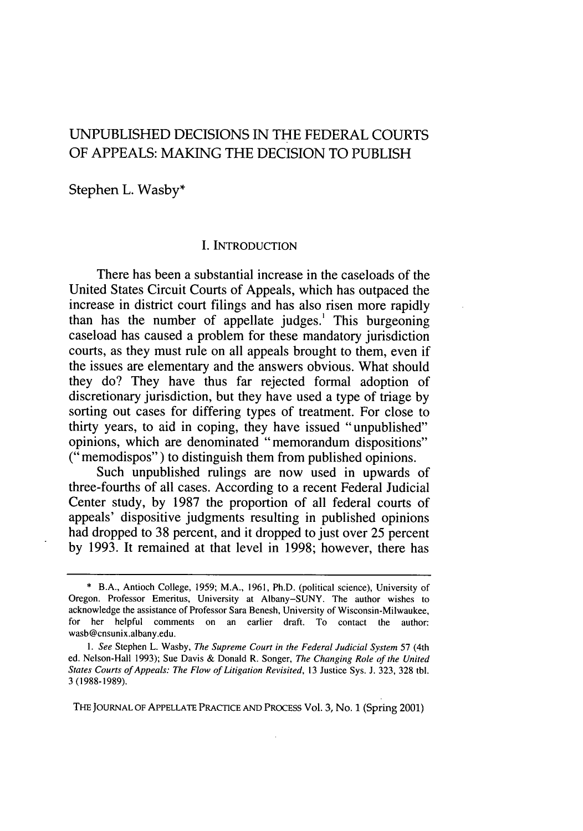# UNPUBLISHED DECISIONS IN THE FEDERAL COURTS OF APPEALS: MAKING THE DECISION TO PUBLISH

Stephen L. Wasby\*

#### I. INTRODUCTION

There has been a substantial increase in the caseloads of the United States Circuit Courts of Appeals, which has outpaced the increase in district court filings and has also risen more rapidly than has the number of appellate judges.' This burgeoning caseload has caused a problem for these mandatory jurisdiction courts, as they must rule on all appeals brought to them, even if the issues are elementary and the answers obvious. What should they do? They have thus far rejected formal adoption of discretionary jurisdiction, but they have used a type of triage by sorting out cases for differing types of treatment. For close to thirty years, to aid in coping, they have issued "unpublished" opinions, which are denominated "memorandum dispositions" (" memodispos") to distinguish them from published opinions.

Such unpublished rulings are now used in upwards of three-fourths of all cases. According to a recent Federal Judicial Center study, by 1987 the proportion of all federal courts of appeals' dispositive judgments resulting in published opinions had dropped to 38 percent, and it dropped to just over 25 percent by 1993. It remained at that level in 1998; however, there has

**THE** JOURNAL OF APPELLATE PRACTICE AND PROCESS Vol. 3, No. 1 (Spring 2001)

<sup>\*</sup> B.A., Antioch College, 1959; M.A., 1961, Ph.D. (political science), University of Oregon. Professor Emeritus, University at Albany-SUNY. The author wishes to acknowledge the assistance of Professor Sara Benesh, University of Wisconsin-Milwaukee, for her helpful comments on an earlier draft. To contact the author: wasb@cnsunix.albany.edu.

*<sup>1.</sup> See* Stephen L. Washy, *The Supreme Court in the Federal Judicial System* 57 (4th ed. Nelson-Hall 1993); Sue Davis & Donald R. Songer, *The Changing Role of the United States Courts of Appeals: The Flow of Litigation Revisited,* 13 Justice Sys. J. 323, 328 tbl. 3 (1988-1989).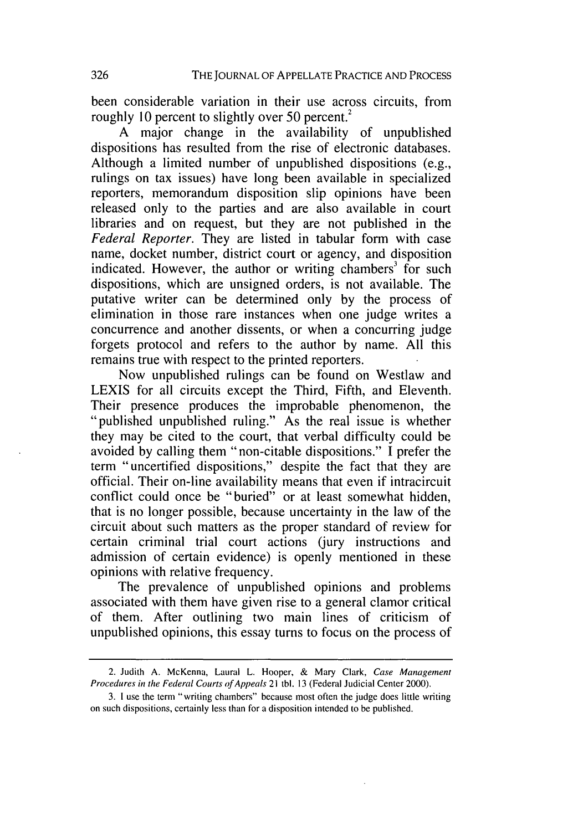been considerable variation in their use across circuits, from roughly 10 percent to slightly over 50 percent.<sup>2</sup>

A major change in the availability of unpublished dispositions has resulted from the rise of electronic databases. Although a limited number of unpublished dispositions (e.g., rulings on tax issues) have long been available in specialized reporters, memorandum disposition slip opinions have been released only to the parties and are also available in court libraries and on request, but they are not published in the *Federal Reporter.* They are listed in tabular form with case name, docket number, district court or agency, and disposition indicated. However, the author or writing chambers<sup>3</sup> for such dispositions, which are unsigned orders, is not available. The putative writer can be determined only by the process of elimination in those rare instances when one judge writes a concurrence and another dissents, or when a concurring judge forgets protocol and refers to the author by name. All this remains true with respect to the printed reporters.

Now unpublished rulings can be found on Westlaw and LEXIS for all circuits except the Third, Fifth, and Eleventh. Their presence produces the improbable phenomenon, the "published unpublished ruling." As the real issue is whether they may be cited to the court, that verbal difficulty could be avoided by calling them "non-citable dispositions." I prefer the term "uncertified dispositions," despite the fact that they are official. Their on-line availability means that even if intracircuit conflict could once be "buried" or at least somewhat hidden, that is no longer possible, because uncertainty in the law of the circuit about such matters as the proper standard of review for certain criminal trial court actions (jury instructions and admission of certain evidence) is openly mentioned in these opinions with relative frequency.

The prevalence of unpublished opinions and problems associated with them have given rise to a general clamor critical of them. After outlining two main lines of criticism of unpublished opinions, this essay turns to focus on the process of

<sup>2.</sup> Judith A. McKenna, Laural L. Hooper, **&** Mary Clark, *Case Management* Procedures in the Federal Courts of Appeals 21 tbl. 13 (Federal Judicial Center 2000).

<sup>3.</sup> I use the term "writing chambers" because most often the judge does little writing on such dispositions, certainly less than for a disposition intended to be published.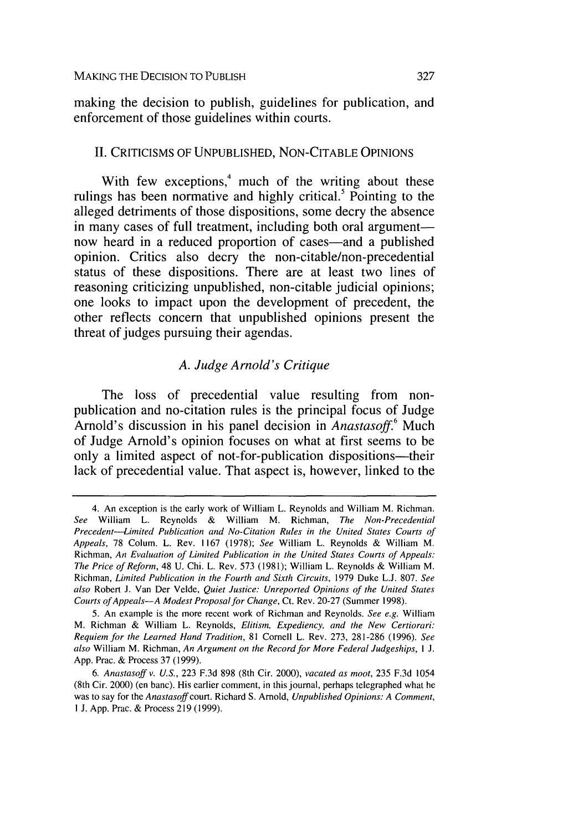making the decision to publish, guidelines for publication, and enforcement of those guidelines within courts.

#### **II.** CRITICISMS OF **UNPUBLISHED, NON-CITABLE OPINIONS**

With few exceptions, $4 \text{ much of the writing about these}$ rulings has been normative and **highly** critical.5 Pointing to the alleged detriments of those dispositions, some decry the absence in many cases of full treatment, including both oral argument now heard in a reduced proportion of cases—and a published opinion. Critics also decry the non-citable/non-precedential status of these dispositions. There are at least two lines of reasoning criticizing unpublished, non-citable judicial opinions; one looks to impact upon the development of precedent, the other reflects concern that unpublished opinions present the threat of judges pursuing their agendas.

#### *A. Judge Arnold's Critique*

The loss of precedential value resulting from nonpublication and no-citation rules is the principal focus of Judge Arnold's discussion in his panel decision in *Anastasoff.6* Much of Judge Arnold's opinion focuses on what at first seems to be only a limited aspect of not-for-publication dispositions—their lack of precedential value. That aspect is, however, linked to the

<sup>4.</sup> An exception is the early work of William L. Reynolds and William M. Richman. *See* William L. Reynolds **&** William M. Richman, *The Non-Precedential Precedent--Linited Publication and No-Citation Rules in the United States Courts of Appeals,* **78** Colum. L. Rev. **1167 (1978);** *See* William L. Reynolds **&** William M. Richman, *An Evaluation of Limited Publication in the United States Courts of Appeals: The Price of Reform,* 48 **U.** Chi. L. Rev. **573 (1981);** William L. Reynolds **&** William M. Richman, *Limited Publication in the Fourth and Sixth Circuits,* **1979** Duke **L.J. 807.** *See also* Robert **J.** Van Der Velde, *Quiet Justice: Unreported Opinions of the United States Courts of Appeals-A Modest Proposal for Change,* Ct. Rev. **20-27** (Summer **1998).**

**<sup>5.</sup>** An example is the more recent work of Richman and Reynolds. *See e.g.* William M. Richman **&** William L. Reynolds, *Elitism, Expediency, and the New Certiorari: Requiem for the Learned Hand Tradition,* **81** Cornell L. Rev. **273, 281-286 (1996).** *See also* William M. Richman, *An Argument on the Record for More Federal Judgeships, I* **J. App.** Prac. **&** Process **37 (1999).**

*<sup>6.</sup> Anastasoff v. U.S.,* **223 F.3d 898** (8th Cir. 2000), *vacated as moot,* **235 F.3d** 1054 (8th Cir. 2000) (en banc). His earlier comment, in this journal, perhaps telegraphed what he was to say for the *Anastasoff court.* Richard **S.** Arnold, *Unpublished Opinions: A Comment,* **I J. App.** Prac. **&** Process **219 (1999).**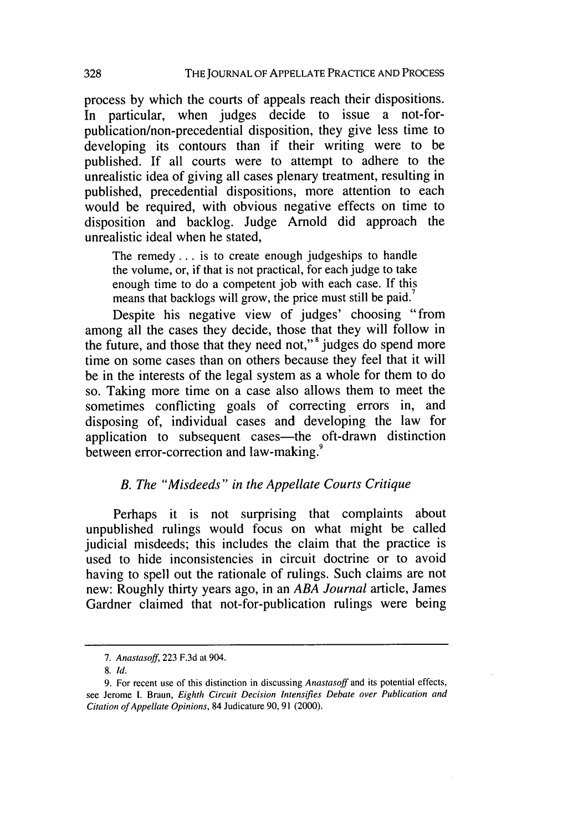process by which the courts of appeals reach their dispositions. In particular, when judges decide to issue a not-forpublication/non-precedential disposition, they give less time to developing its contours than if their writing were to be published. If all courts were to attempt to adhere to the unrealistic idea of giving all cases plenary treatment, resulting in published, precedential dispositions, more attention to each would be required, with obvious negative effects on time to disposition and backlog. Judge Arnold did approach the unrealistic ideal when he stated,

The remedy.., is to create enough judgeships to handle the volume, or, if that is not practical, for each judge to take enough time to do a competent job with each case. If this means that backlogs will grow, the price must still be paid.

Despite his negative view of judges' choosing "from among all the cases they decide, those that they will follow in the future, and those that they need not,"' judges do spend more time on some cases than on others because they feel that it will be in the interests of the legal system as a whole for them to do so. Taking more time on a case also allows them to meet the sometimes conflicting goals of correcting errors in, and disposing of, individual cases and developing the law for application to subsequent cases—the oft-drawn distinction between error-correction and law-making.<sup>9</sup>

#### *B. The "Misdeeds" in the Appellate Courts Critique*

Perhaps it is not surprising that complaints about unpublished rulings would focus on what might be called judicial misdeeds; this includes the claim that the practice is used to hide inconsistencies in circuit doctrine or to avoid having to spell out the rationale of rulings. Such claims are not new: Roughly thirty years ago, in an *ABA Journal* article, James Gardner claimed that not-for-publication rulings were being

**<sup>7.</sup>** Anastasoff, 223 F.3d at 904.

<sup>8.</sup> **Id.**

<sup>9.</sup> For recent use of this distinction in discussing *Anastasoff* and its potential effects, see Jerome **1.** Braun, *Eighth Circuit Decision Intensifies Debate over Publication and Citation of Appellate Opinions,* 84 Judicature **90,** 91 (2000).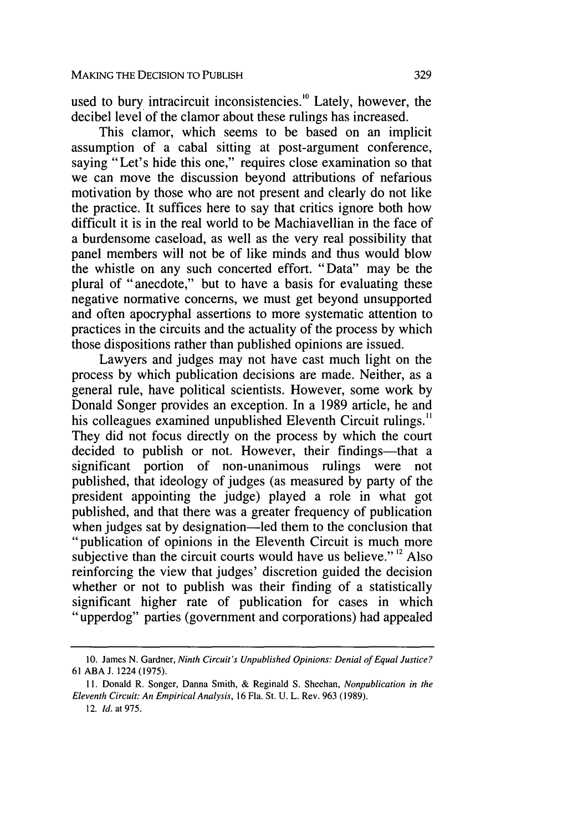used to bury intracircuit inconsistencies.<sup>10</sup> Lately, however, the decibel level of the clamor about these rulings has increased.

This clamor, which seems to be based on an implicit assumption of a cabal sitting at post-argument conference, saying "Let's hide this one," requires close examination so that we can move the discussion beyond attributions of nefarious motivation by those who are not present and clearly do not like the practice. It suffices here to say that critics ignore both how difficult it is in the real world to be Machiavellian in the face of a burdensome caseload, as well as the very real possibility that panel members will not be of like minds and thus would blow the whistle on any such concerted effort. "Data" may be the plural of "anecdote," but to have a basis for evaluating these negative normative concerns, we must get beyond unsupported and often apocryphal assertions to more systematic attention to practices in the circuits and the actuality of the process by which those dispositions rather than published opinions are issued.

Lawyers and judges may not have cast much light on the process by which publication decisions are made. Neither, as a general rule, have political scientists. However, some work by Donald Songer provides an exception. In a 1989 article, he and his colleagues examined unpublished Eleventh Circuit rulings.<sup>11</sup> They did not focus directly on the process by which the court decided to publish or not. However, their findings—that a significant portion of non-unanimous rulings were not published, that ideology of judges (as measured by party of the president appointing the judge) played a role in what got published, and that there was a greater frequency of publication when judges sat by designation—led them to the conclusion that "publication of opinions in the Eleventh Circuit is much more subjective than the circuit courts would have us believe." $\frac{12}{12}$  Also reinforcing the view that judges' discretion guided the decision whether or not to publish was their finding of a statistically significant higher rate of publication for cases in which "upperdog" parties (government and corporations) had appealed

<sup>10.</sup> James N. Gardner, Ninth Circuit's Unpublished *Opinions: Denial of Equal Justice?* 61 ABA J. 1224 (1975).

<sup>11.</sup> Donald R. Songer, Danna Smith, & Reginald S. Sheehan, Nonpublication in the Eleventh Circuit: *An EmpiricalAnalysis,* 16 Fla. St. U. L. Rev. 963 (1989).

<sup>12.</sup> *Id.* at 975.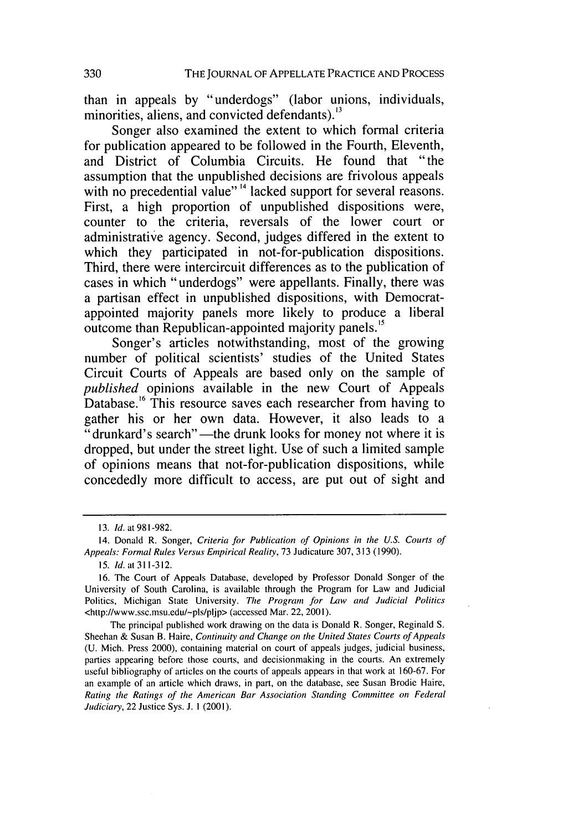than in appeals **by** "underdogs" (labor unions, individuals, minorities, aliens, and convicted defendants).  $13$ 

Songer also examined the extent to which formal criteria for publication appeared to be followed in the Fourth, Eleventh, and District of Columbia Circuits. He found that "the assumption that the unpublished decisions are frivolous appeals with no precedential value"<sup>14</sup> lacked support for several reasons. First, a high proportion of unpublished dispositions were, counter to the criteria, reversals of the lower court or administrative agency. Second, judges differed in the extent to which they participated in not-for-publication dispositions. Third, there were intercircuit differences as to the publication of cases in which "underdogs" were appellants. Finally, there was a partisan effect in unpublished dispositions, with Democratappointed majority panels more likely to produce a liberal outcome than Republican-appointed majority panels.<sup>15</sup>

Songer's articles notwithstanding, most of the growing number of political scientists' studies of the United States Circuit Courts of Appeals are based only on the sample of *published* opinions available in the new Court of Appeals Database.<sup>16</sup> This resource saves each researcher from having to gather his or her own data. However, it also leads to a " drunkard's search"—the drunk looks for money not where it is dropped, but under the street light. Use of such a limited sample of opinions means that not-for-publication dispositions, while concededly more difficult to access, are put out of sight and

**<sup>13.</sup> Id.** at **981-982.**

<sup>14.</sup> Donald R. Songer, Criteria for Publication of Opinions in the **U.S.** Courts of Appeals: Formal Rules Versus Empirical Reality, **73** Judicature **307, 313 (1990).**

**<sup>15.</sup> Id.** at **311-312.**

**<sup>16.</sup>** The Court of Appeals Database, developed **by** Professor Donald Songer of the University of South Carolina, is available through the Program for Law and Judicial Politics, Michigan State University. **The** Program for Law and Judicial Politics <http://www.ssc.msu.edu/-pls/pljp> (accessed Mar. 22, 2001).

The principal published work drawing on the data is Donald R. Songer, Reginald **S.** Sheehan **&** Susan B. Haire, Continuity and Change on the United States Courts **of** Appeals **(U.** Mich. Press 2000), containing material on court of appeals judges, judicial business, parties appearing before those courts, and decisionmaking in the courts. An extremely useful bibliography of articles on the courts of appeals appears in that work at **160-67.** For an example of an article which draws, in part, on the database, see Susan Brodie Haire, Rating the Ratings of **the** American Bar Association Standing Committee on Federal Judiciary, 22 Justice Sys. **J. 1** (2001).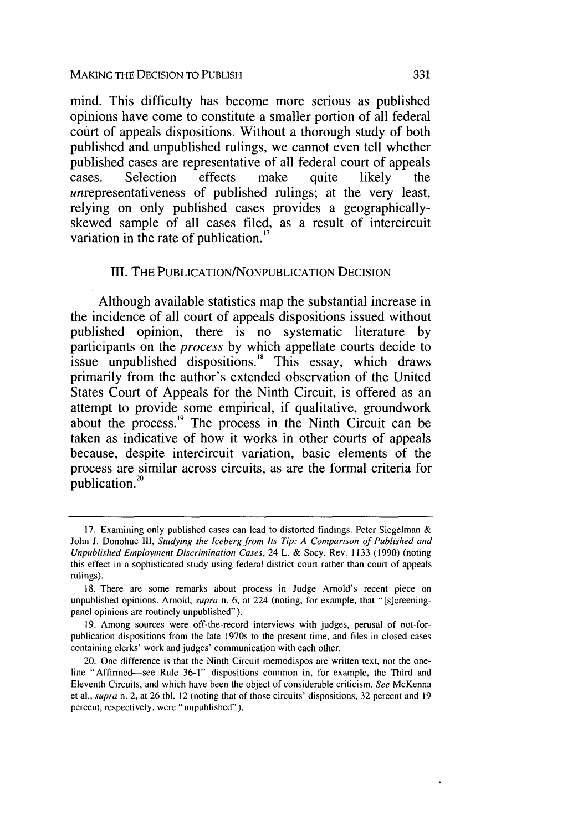mind. This difficulty has become more serious as published opinions have come to constitute a smaller portion of all federal court of appeals dispositions. Without a thorough study of both published and unpublished rulings, we cannot even tell whether published cases are representative of all federal court of appeals cases. Selection effects make quite likely the unrepresentativeness of published rulings; at the very least, relying on only published cases provides a geographicallyskewed sample of all cases filed, as a result of intercircuit variation in the rate of publication. $^{17}$ 

#### **III.** THE **PUBLICATION/NONPUBLICATION DECISION**

Although available statistics map the substantial increase in the incidence of all court of appeals dispositions issued without published opinion, there is no systematic literature **by** participants on the process **by** which appellate courts decide to issue unpublished dispositions.<sup>18</sup> This essay, which draws primarily from the author's extended observation of the United States Court of Appeals for the Ninth Circuit, is offered as an attempt to provide some empirical, if qualitative, groundwork about the process. $\frac{19}{12}$  The process in the Ninth Circuit can be taken as indicative of how it works in other courts of appeals because, despite intercircuit variation, basic elements of the process are similar across circuits, as are the formal criteria for publication.<sup>20</sup>

**<sup>17.</sup>** Examining only published cases can lead to distorted findings. Peter Siegelman **&** John **J.** Donohue **I11,** Studying the Iceberg from *Its* Tip: **A** Comparison of Published and Unpublished Employment Discrimination Cases, 24 L. **&** Socy. Rev. **1133 (1990)** (noting this effect in a sophisticated study using federal district court rather than court of appeals rulings).

**<sup>18.</sup>** There are some remarks about process in Judge Arnold's recent piece on unpublished opinions. Arnold, supra n. **6,** at 224 (noting, for example, that "[s]creeningpanel opinions are routinely unpublished").

**<sup>19.</sup>** Among sources were off-the-record interviews with judges, perusal of not-forpublication dispositions from the late 1970s to the present time, and files in closed cases containing clerks' work and judges' communication with each other.

<sup>20.</sup> One difference is that the Ninth Circuit memodispos are written text, not the oneline "Affirmed-see Rule **36-l"** dispositions common in, for example, the Third and Eleventh Circuits, and which have been the object of considerable criticism. See McKenna et al., supra n. 2, at **26** tbl. 12 (noting that of those circuits' dispositions, **32** percent and **19** percent, respectively, were "unpublished").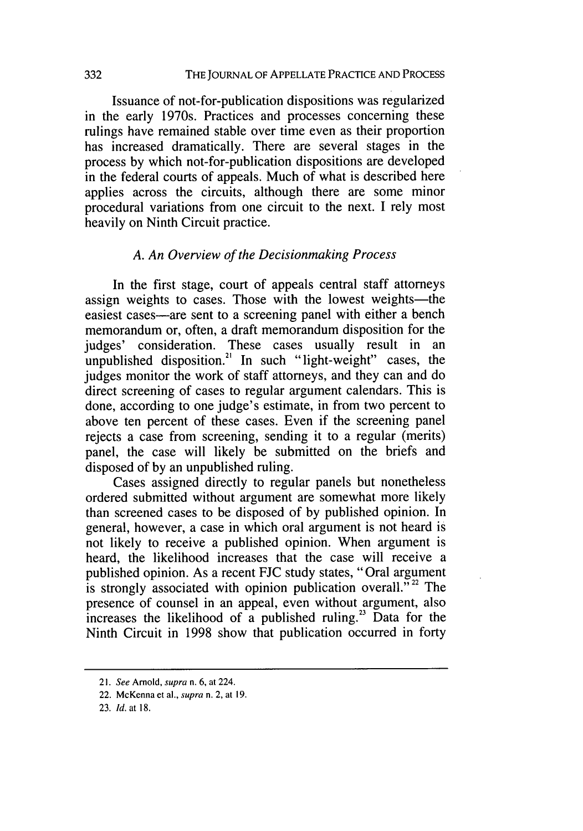Issuance of not-for-publication dispositions was regularized in the early 1970s. Practices and processes concerning these rulings have remained stable over time even as their proportion has increased dramatically. There are several stages in the process by which not-for-publication dispositions are developed in the federal courts of appeals. Much of what is described here applies across the circuits, although there are some minor procedural variations from one circuit to the next. I rely most heavily on Ninth Circuit practice.

## *A. An Overview of the Decisionmaking Process*

In the first stage, court of appeals central staff attorneys assign weights to cases. Those with the lowest weights-the easiest cases—are sent to a screening panel with either a bench memorandum or, often, a draft memorandum disposition for the judges' consideration. These cases usually result in an unpublished disposition.<sup>21</sup> In such "light-weight" cases, the judges monitor the work of staff attorneys, and they can and do direct screening of cases to regular argument calendars. This is done, according to one judge's estimate, in from two percent to above ten percent of these cases. Even if the screening panel rejects a case from screening, sending it to a regular (merits) panel, the case will likely be submitted on the briefs and disposed of by an unpublished ruling.

Cases assigned directly to regular panels but nonetheless ordered submitted without argument are somewhat more likely than screened cases to be disposed of by published opinion. In general, however, a case in which oral argument is not heard is not likely to receive a published opinion. When argument is heard, the likelihood increases that the case will receive a published opinion. As a recent FJC study states, "Oral argument is strongly associated with opinion publication overall.<sup> $52$ </sup> The presence of counsel in an appeal, even without argument, also increases the likelihood of a published ruling.<sup>23</sup> Data for the Ninth Circuit in 1998 show that publication occurred in forty

*<sup>2</sup> 1.* See Arnold, supra n. 6, at 224.

<sup>22.</sup> McKenna et al., supra n. 2, at 19.

<sup>23.</sup> Id. at 18.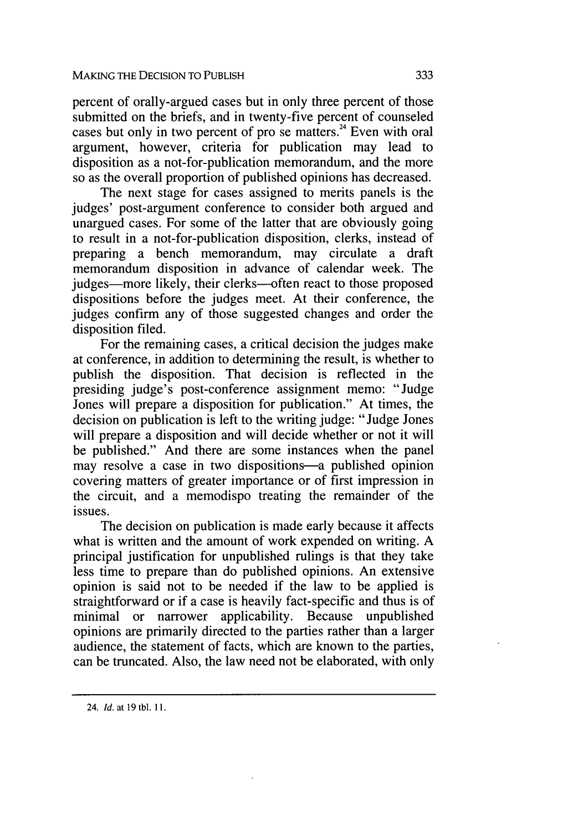percent of orally-argued cases but in only three percent of those submitted on the briefs, and in twenty-five percent of counseled cases but only in two percent of pro se matters.<sup>24</sup> Even with oral argument, however, criteria for publication may lead to disposition as a not-for-publication memorandum, and the more so as the overall proportion of published opinions has decreased.

The next stage for cases assigned to merits panels is the judges' post-argument conference to consider both argued and unargued cases. For some of the latter that are obviously going to result in a not-for-publication disposition, clerks, instead of preparing a bench memorandum, may circulate a draft memorandum disposition in advance of calendar week. The judges-more likely, their clerks--often react to those proposed dispositions before the judges meet. At their conference, the judges confirm any of those suggested changes and order the disposition filed.

For the remaining cases, a critical decision the judges make at conference, in addition to determining the result, is whether to publish the disposition. That decision is reflected in the presiding judge's post-conference assignment memo: "Judge Jones will prepare a disposition for publication." At times, the decision on publication is left to the writing judge: "Judge Jones will prepare a disposition and will decide whether or not it will be published." And there are some instances when the panel may resolve a case in two dispositions-a published opinion covering matters of greater importance or of first impression in the circuit, and a memodispo treating the remainder of the issues.

The decision on publication is made early because it affects what is written and the amount of work expended on writing. A principal justification for unpublished rulings is that they take less time to prepare than do published opinions. An extensive opinion is said not to be needed if the law to be applied is straightforward or if a case is heavily fact-specific and thus is of minimal or narrower applicability. Because unpublished opinions are primarily directed to the parties rather than a larger audience, the statement of facts, which are known to the parties, can be truncated. Also, the law need not be elaborated, with only

<sup>24.</sup> *Id.* at 19 tbl. **1I.**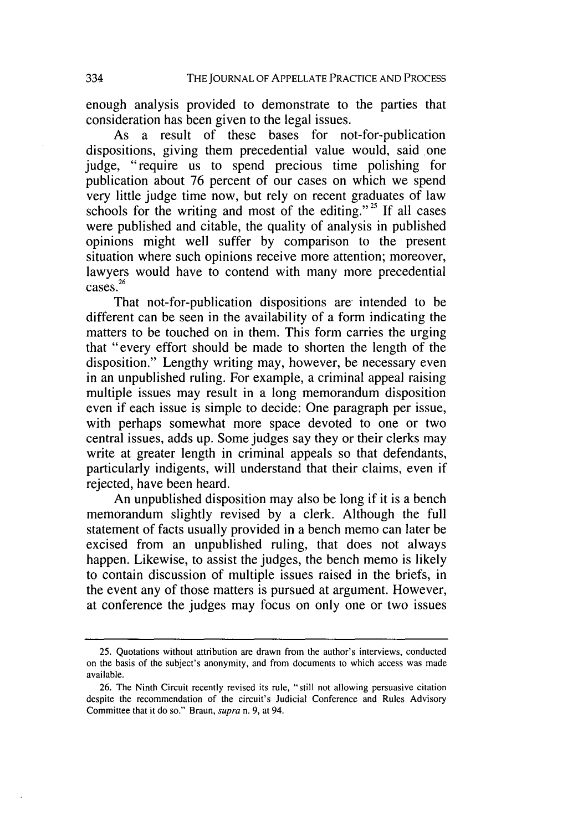enough analysis provided to demonstrate to the parties that consideration has been given to the legal issues.

As a result of these bases for not-for-publication dispositions, giving them precedential value would, said one judge, "require us to spend precious time polishing for publication about 76 percent of our cases on which we spend very little judge time now, but rely on recent graduates of law schools for the writing and most of the editing."<sup>25</sup> If all cases were published and citable, the quality of analysis in published opinions might well suffer by comparison to the present situation where such opinions receive more attention; moreover, lawyers would have to contend with many more precedential cases.

That not-for-publication dispositions are intended to be different can be seen in the availability of a form indicating the matters to be touched on in them. This form carries the urging that "every effort should be made to shorten the length of the disposition." Lengthy writing may, however, be necessary even in an unpublished ruling. For example, a criminal appeal raising multiple issues may result in a long memorandum disposition even if each issue is simple to decide: One paragraph per issue, with perhaps somewhat more space devoted to one or two central issues, adds up. Some judges say they or their clerks may write at greater length in criminal appeals so that defendants, particularly indigents, will understand that their claims, even if rejected, have been heard.

An unpublished disposition may also be long if it is a bench memorandum slightly revised by a clerk. Although the full statement of facts usually provided in a bench memo can later be excised from an unpublished ruling, that does not always happen. Likewise, to assist the judges, the bench memo is likely to contain discussion of multiple issues raised in the briefs, in the event any of those matters is pursued at argument. However, at conference the judges may focus on only one or two issues

<sup>25.</sup> Quotations without attribution are drawn from the author's interviews, conducted on the basis of the subject's anonymity, and from documents to which access was made available.

<sup>26.</sup> The Ninth Circuit recently revised its rule, "still not allowing persuasive citation despite the recommendation of the circuit's Judicial Conference and Rules Advisory Committee that it do so." Braun, *supra* n. 9, at 94.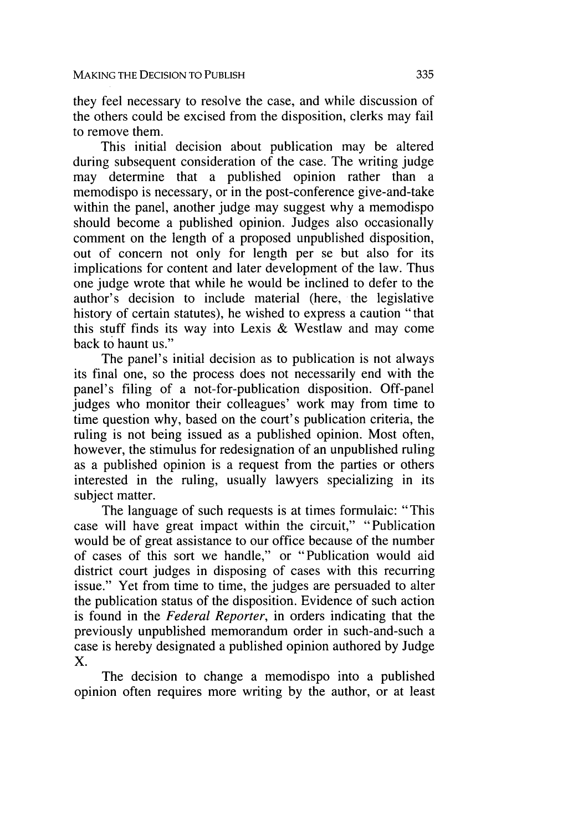they feel necessary to resolve the case, and while discussion of the others could be excised from the disposition, clerks may fail to remove them.

This initial decision about publication may be altered during subsequent consideration of the case. The writing judge may determine that a published opinion rather than a memodispo is necessary, or in the post-conference give-and-take within the panel, another judge may suggest why a memodispo should become a published opinion. Judges also occasionally comment on the length of a proposed unpublished disposition, out of concern not only for length per se but also for its implications for content and later development of the law. Thus one judge wrote that while he would be inclined to defer to the author's decision to include material (here, the legislative history of certain statutes), he wished to express a caution "that this stuff finds its way into Lexis & Westlaw and may come back to haunt us."

The panel's initial decision as to publication is not always its final one, so the process does not necessarily end with the panel's filing of a not-for-publication disposition. Off-panel judges who monitor their colleagues' work may from time to time question why, based on the court's publication criteria, the ruling is not being issued as a published opinion. Most often, however, the stimulus for redesignation of an unpublished ruling as a published opinion is a request from the parties or others interested in the ruling, usually lawyers specializing in its subject matter.

The language of such requests is at times formulaic: "This case will have great impact within the circuit," "Publication would be of great assistance to our office because of the number of cases of this sort we handle," or "Publication would aid district court judges in disposing of cases with this recurring issue." Yet from time to time, the judges are persuaded to alter the publication status of the disposition. Evidence of such action is found in the *Federal Reporter,* in orders indicating that the previously unpublished memorandum order in such-and-such a case is hereby designated a published opinion authored by Judge X.

The decision to change a memodispo into a published opinion often requires more writing by the author, or at least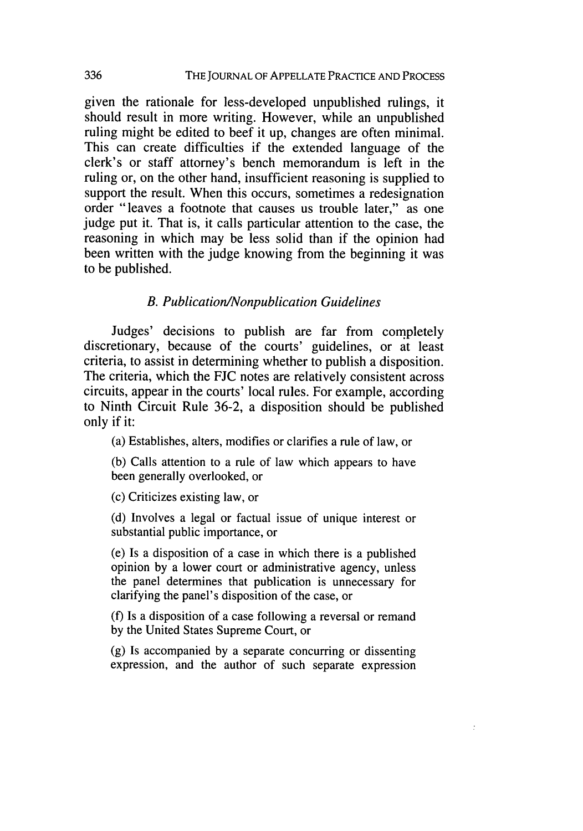given the rationale for less-developed unpublished rulings, it should result in more writing. However, while an unpublished ruling might be edited to beef it up, changes are often minimal. This can create difficulties if the extended language of the clerk's or staff attorney's bench memorandum is left in the ruling or, on the other hand, insufficient reasoning is supplied to support the result. When this occurs, sometimes a redesignation order "leaves a footnote that causes us trouble later," as one judge put it. That is, it calls particular attention to the case, the reasoning in which may be less solid than if the opinion had been written with the judge knowing from the beginning it was to be published.

#### *B. Publication/Nonpublication Guidelines*

Judges' decisions to publish are far from completely discretionary, because of the courts' guidelines, or at least criteria, to assist in determining whether to publish a disposition. The criteria, which the FJC notes are relatively consistent across circuits, appear in the courts' local rules. For example, according to Ninth Circuit Rule 36-2, a disposition should be published only if it:

(a) Establishes, alters, modifies or clarifies a rule of law, or

(b) Calls attention to a rule of law which appears to have been generally overlooked, or

(c) Criticizes existing law, or

(d) Involves a legal or factual issue of unique interest or substantial public importance, or

(e) Is a disposition of a case in which there is a published opinion by a lower court or administrative agency, unless the panel determines that publication is unnecessary for clarifying the panel's disposition of the case, or

(f) Is a disposition of a case following a reversal or remand by the United States Supreme Court, or

(g) Is accompanied by a separate concurring or dissenting expression, and the author of such separate expression

÷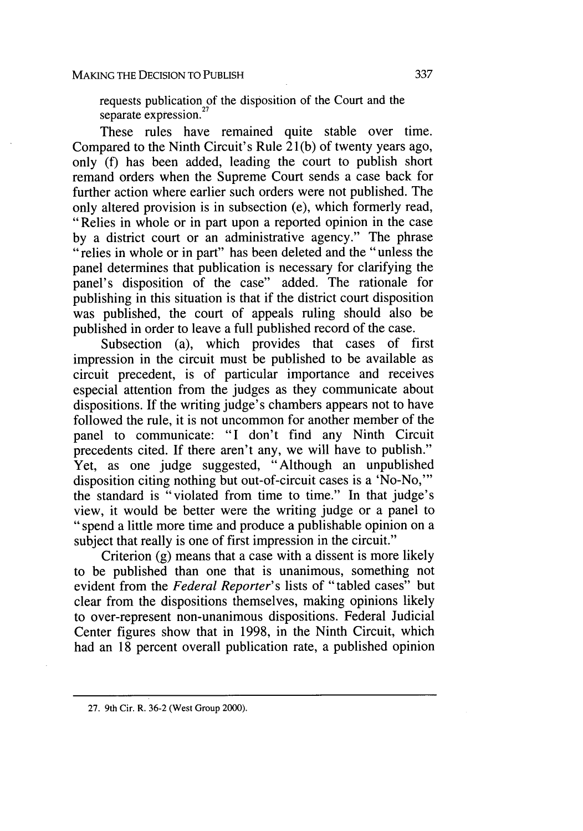requests publication of the disposition of the Court and the separate expression. **'**

These rules have remained quite stable over time. Compared to the Ninth Circuit's Rule 21(b) of twenty years ago, only **(f)** has been added, leading the court to publish short remand orders when the Supreme Court sends a case back for further action where earlier such orders were not published. The only altered provision is in subsection (e), which formerly read, "Relies in whole or in part upon a reported opinion in the case<br>by a district court or an administrative agency." The phrase " relies in whole or in part" has been deleted and the "unless the panel determines that publication is necessary for clarifying the panel's disposition of the case" added. The rationale for publishing in this situation is that if the district court disposition was published, the court of appeals ruling should also be published in order to leave a full published record of the case.

Subsection (a), which provides that cases of first impression in the circuit must be published to be available as circuit precedent, is of particular importance and receives especial attention from the judges as they communicate about dispositions. If the writing judge's chambers appears not to have followed the rule, it is not uncommon for another member of the panel to communicate: "I don't find any Ninth Circuit precedents cited. If there aren't any, we will have to publish." Yet, as one judge suggested, "Although an unpublished disposition citing nothing but out-of-circuit cases is a 'No-No,"' the standard is "violated from time to time." In that judge's view, it would be better were the writing judge or a panel to "spend a little more time and produce a publishable opinion on a subject that really is one of first impression in the circuit."

Criterion (g) means that a case with a dissent is more likely to be published than one that is unanimous, something not evident from the *Federal Reporter's* lists of "tabled cases" but clear from the dispositions themselves, making opinions likely to over-represent non-unanimous dispositions. Federal Judicial Center figures show that in 1998, in the Ninth Circuit, which had an 18 percent overall publication rate, a published opinion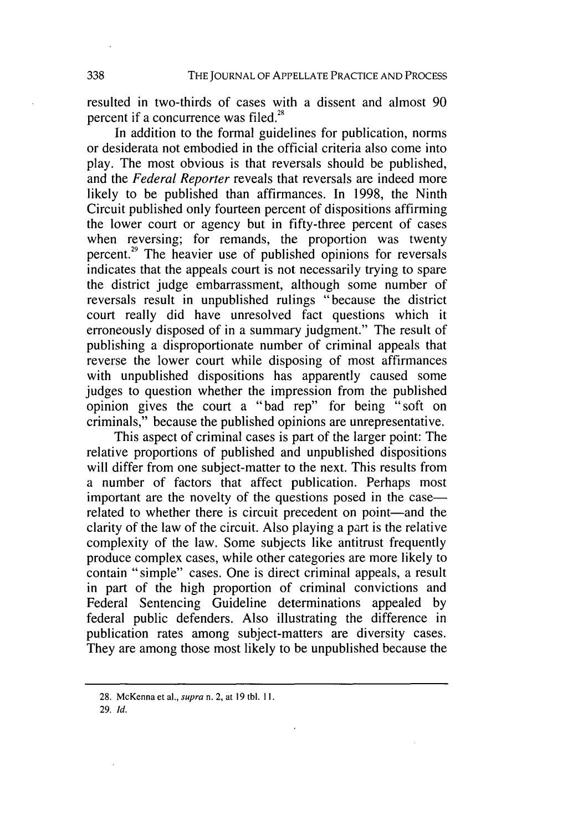resulted in two-thirds of cases with a dissent and almost 90 percent if a concurrence was filed.<sup>28</sup>

In addition to the formal guidelines for publication, norms or desiderata not embodied in the official criteria also come into play. The most obvious is that reversals should be published, and the *Federal Reporter* reveals that reversals are indeed more likely to be published than affirmances. In 1998, the Ninth Circuit published only fourteen percent of dispositions affirming the lower court or agency but in fifty-three percent of cases when reversing; for remands, the proportion was twenty percent.<sup>29</sup> The heavier use of published opinions for reversals indicates that the appeals court is not necessarily trying to spare the district judge embarrassment, although some number of reversals result in unpublished rulings "because the district court really did have unresolved fact questions which it erroneously disposed of in a summary judgment." The result of publishing a disproportionate number of criminal appeals that reverse the lower court while disposing of most affirmances with unpublished dispositions has apparently caused some judges to question whether the impression from the published opinion gives the court a "bad rep" for being "soft on criminals," because the published opinions are unrepresentative.

This aspect of criminal cases is part of the larger point: The relative proportions of published and unpublished dispositions will differ from one subject-matter to the next. This results from a number of factors that affect publication. Perhaps most important are the novelty of the questions posed in the case related to whether there is circuit precedent on point—and the clarity of the law of the circuit. Also playing a part is the relative complexity of the law. Some subjects like antitrust frequently produce complex cases, while other categories are more likely to contain "simple" cases. One is direct criminal appeals, a result in part of the high proportion of criminal convictions and Federal Sentencing Guideline determinations appealed by federal public defenders. Also illustrating the difference in publication rates among subject-matters are diversity cases. They are among those most likely to be unpublished because the

29. Id.

<sup>28.</sup> McKenna et a]., supra n. 2, at 19 tbl. **1I.**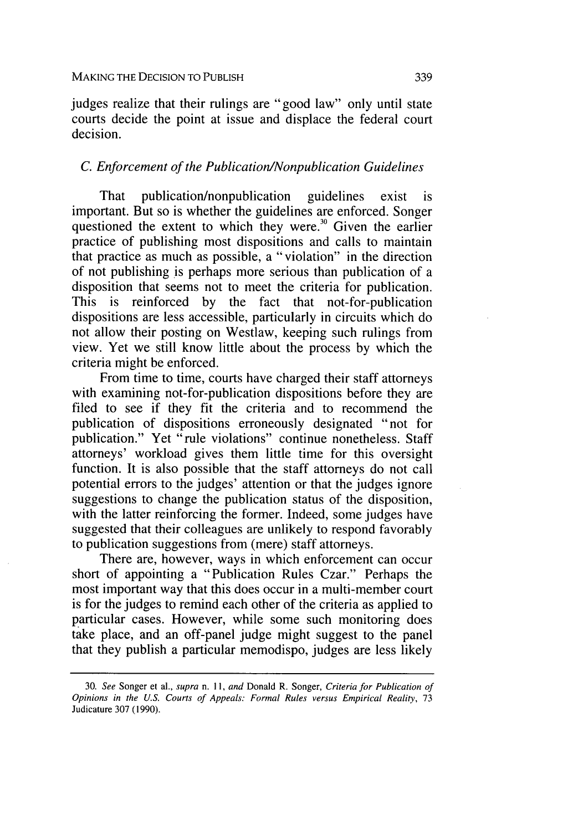judges realize that their rulings are "good law" only until state courts decide the point at issue and displace the federal court decision.

#### *C. Enforcement of the Publication/Nonpublication Guidelines*

That publication/nonpublication guidelines exist is important. But so is whether the guidelines are enforced. Songer questioned the extent to which they were.<sup>30</sup> Given the earlier practice of publishing most dispositions and calls to maintain that practice as much as possible, a "violation" in the direction of not publishing is perhaps more serious than publication of a disposition that seems not to meet the criteria for publication. This is reinforced by the fact that not-for-publication dispositions are less accessible, particularly in circuits which do not allow their posting on Westlaw, keeping such rulings from view. Yet we still know little about the process by which the criteria might be enforced.

From time to time, courts have charged their staff attorneys with examining not-for-publication dispositions before they are filed to see if they fit the criteria and to recommend the publication of dispositions erroneously designated "not for publication." Yet "rule violations" continue nonetheless. Staff attorneys' workload gives them little time for this oversight function. It is also possible that the staff attorneys do not call potential errors to the judges' attention or that the judges ignore suggestions to change the publication status of the disposition, with the latter reinforcing the former. Indeed, some judges have suggested that their colleagues are unlikely to respond favorably to publication suggestions from (mere) staff attorneys.

There are, however, ways in which enforcement can occur short of appointing a "Publication Rules Czar." Perhaps the most important way that this does occur in a multi-member court is for the judges to remind each other of the criteria as applied to particular cases. However, while some such monitoring does take place, and an off-panel judge might suggest to the panel that they publish a particular memodispo, judges are less likely

<sup>30.</sup> *See* Songer et al., *supra n. 11, and* Donald R. Songer, *Criteria for Publication of Opinions in the U.S. Courts of Appeals: Formal Rules versus Empirical Reality,* <sup>73</sup> Judicature 307 (1990).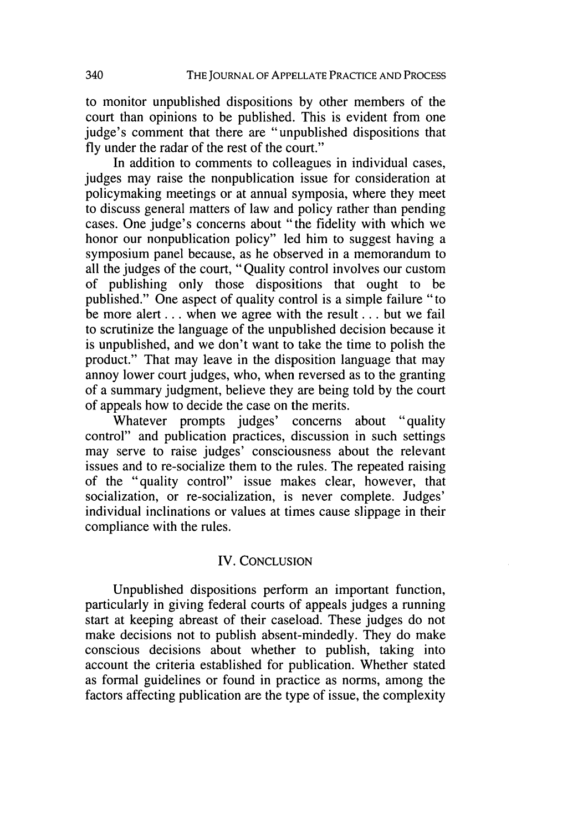to monitor unpublished dispositions **by** other members of the court than opinions to be published. This is evident from one judge's comment that there are "unpublished dispositions that fly under the radar of the rest of the court."

In addition to comments to colleagues in individual cases, judges may raise the nonpublication issue for consideration at policymaking meetings or at annual symposia, where they meet to discuss general matters of law and policy rather than pending cases. One judge's concerns about "the fidelity with which we honor our nonpublication policy" led him to suggest having a symposium panel because, as he observed in a memorandum to all the judges of the court, "Quality control involves our custom of publishing only those dispositions that ought to be published." One aspect of quality control is a simple failure "to be more alert **...** when we agree with the result **...** but we fail to scrutinize the language of the unpublished decision because it is unpublished, and we don't want to take the time to polish the product." That may leave in the disposition language that may annoy lower court judges, who, when reversed as to the granting of a summary judgment, believe they are being told by the court of appeals how to decide the case on the merits.

Whatever prompts judges' concerns about "quality control" and publication practices, discussion in such settings may serve to raise judges' consciousness about the relevant issues and to re-socialize them to the rules. The repeated raising of the "quality control" issue makes clear, however, that socialization, or re-socialization, is never complete. Judges' individual inclinations or values at times cause slippage in their compliance with the rules.

#### IV. CONCLUSION

Unpublished dispositions perform an important function, particularly in giving federal courts of appeals judges a running start at keeping abreast of their caseload. These judges do not make decisions not to publish absent-mindedly. They do make conscious decisions about whether to publish, taking into account the criteria established for publication. Whether stated as formal guidelines or found in practice as norms, among the factors affecting publication are the type of issue, the complexity